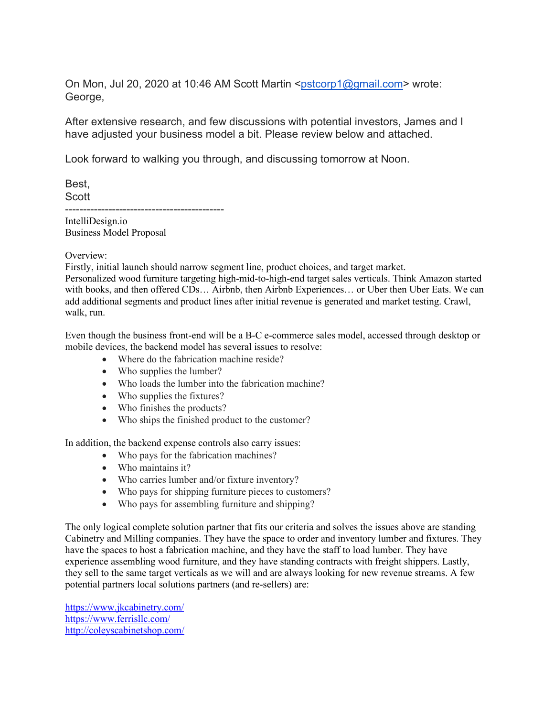On Mon, Jul 20, 2020 at 10:46 AM Scott Martin [<pstcorp1@gmail.com>](mailto:pstcorp1@gmail.com) wrote: George,

After extensive research, and few discussions with potential investors, James and I have adjusted your business model a bit. Please review below and attached.

Look forward to walking you through, and discussing tomorrow at Noon.

Best, Scott -------------------------------------------- IntelliDesign.io

Business Model Proposal

Overview:

Firstly, initial launch should narrow segment line, product choices, and target market.

Personalized wood furniture targeting high-mid-to-high-end target sales verticals. Think Amazon started with books, and then offered CDs… Airbnb, then Airbnb Experiences… or Uber then Uber Eats. We can add additional segments and product lines after initial revenue is generated and market testing. Crawl, walk, run.

Even though the business front-end will be a B-C e-commerce sales model, accessed through desktop or mobile devices, the backend model has several issues to resolve:

- Where do the fabrication machine reside?
- Who supplies the lumber?
- Who loads the lumber into the fabrication machine?
- Who supplies the fixtures?
- Who finishes the products?
- Who ships the finished product to the customer?

In addition, the backend expense controls also carry issues:

- Who pays for the fabrication machines?
- Who maintains it?
- Who carries lumber and/or fixture inventory?
- Who pays for shipping furniture pieces to customers?
- Who pays for assembling furniture and shipping?

The only logical complete solution partner that fits our criteria and solves the issues above are standing Cabinetry and Milling companies. They have the space to order and inventory lumber and fixtures. They have the spaces to host a fabrication machine, and they have the staff to load lumber. They have experience assembling wood furniture, and they have standing contracts with freight shippers. Lastly, they sell to the same target verticals as we will and are always looking for new revenue streams. A few potential partners local solutions partners (and re-sellers) are:

<https://www.jkcabinetry.com/> <https://www.ferrisllc.com/> <http://coleyscabinetshop.com/>